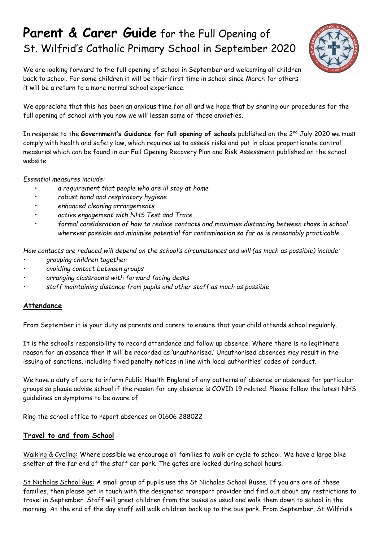# **Parent & Carer Guide** for the Full Opening of St. Wilfrid's Catholic Primary School in September 2020



We are looking forward to the full opening of school in September and welcoming all children back to school. For some children it will be their first time in school since March for others it will be a return to a more normal school experience.

We appreciate that this has been an anxious time for all and we hope that by sharing our procedures for the full opening of school with you now we will lessen some of those anxieties.

In response to the Government's Guidance for full opening of schools published on the 2<sup>nd</sup> July 2020 we must comply with health and safety law, which requires us to assess risks and put in place proportionate control measures which can be found in our Full Opening Recovery Plan and Risk Assessment published on the school website.

*Essential measures include:*

- *a requirement that people who are ill stay at home*
- *robust hand and respiratory hygiene*
- *enhanced cleaning arrangements*
- *active engagement with NHS Test and Trace*
- *formal consideration of how to reduce contacts and maximise distancing between those in school wherever possible and minimise potential for contamination so far as is reasonably practicable*

*How contacts are reduced will depend on the school's circumstances and will (as much as possible) include:*

- *• grouping children together*
- *• avoiding contact between groups*
- *• arranging classrooms with forward facing desks*
- *• staff maintaining distance from pupils and other staff as much as possible*

#### **Attendance**

From September it is your duty as parents and carers to ensure that your child attends school regularly.

It is the school's responsibility to record attendance and follow up absence. Where there is no legitimate reason for an absence then it will be recorded as 'unauthorised.' Unauthorised absences may result in the issuing of sanctions, including fixed penalty notices in line with local authorities' codes of conduct.

We have a duty of care to inform Public Health England of any patterns of absence or absences for particular groups so please advise school if the reason for any absence is COVID 19 related. Please follow the latest NHS guidelines on symptoms to be aware of.

Ring the school office to report absences on 01606 288022

#### **Travel to and from School**

Walking & Cycling: Where possible we encourage all families to walk or cycle to school. We have a large bike shelter at the far end of the staff car park. The gates are locked during school hours.

St Nicholas School Bus: A small group of pupils use the St Nicholas School Buses. If you are one of these families, then please get in touch with the designated transport provider and find out about any restrictions to travel in September. Staff will greet children from the buses as usual and walk them down to school in the morning. At the end of the day staff will walk children back up to the bus park. From September, St Wilfrid's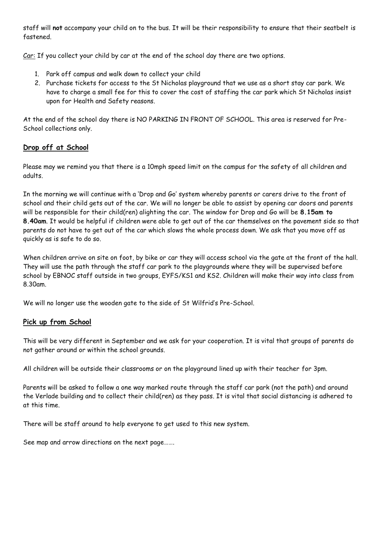staff will **not** accompany your child on to the bus. It will be their responsibility to ensure that their seatbelt is fastened.

Car: If you collect your child by car at the end of the school day there are two options.

- 1. Park off campus and walk down to collect your child
- 2. Purchase tickets for access to the St Nicholas playground that we use as a short stay car park. We have to charge a small fee for this to cover the cost of staffing the car park which St Nicholas insist upon for Health and Safety reasons.

At the end of the school day there is NO PARKING IN FRONT OF SCHOOL. This area is reserved for Pre-School collections only.

## **Drop off at School**

Please may we remind you that there is a 10mph speed limit on the campus for the safety of all children and adults.

In the morning we will continue with a 'Drop and Go' system whereby parents or carers drive to the front of school and their child gets out of the car. We will no longer be able to assist by opening car doors and parents will be responsible for their child(ren) alighting the car. The window for Drop and Go will be **8.15am to 8.40am**. It would be helpful if children were able to get out of the car themselves on the pavement side so that parents do not have to get out of the car which slows the whole process down. We ask that you move off as quickly as is safe to do so.

When children arrive on site on foot, by bike or car they will access school via the gate at the front of the hall. They will use the path through the staff car park to the playgrounds where they will be supervised before school by EBNOC staff outside in two groups, EYFS/KS1 and KS2. Children will make their way into class from 8.30am.

We will no longer use the wooden gate to the side of St Wilfrid's Pre-School.

#### **Pick up from School**

This will be very different in September and we ask for your cooperation. It is vital that groups of parents do not gather around or within the school grounds.

All children will be outside their classrooms or on the playground lined up with their teacher for 3pm.

Parents will be asked to follow a one way marked route through the staff car park (not the path) and around the Verlade building and to collect their child(ren) as they pass. It is vital that social distancing is adhered to at this time.

There will be staff around to help everyone to get used to this new system.

See map and arrow directions on the next page…….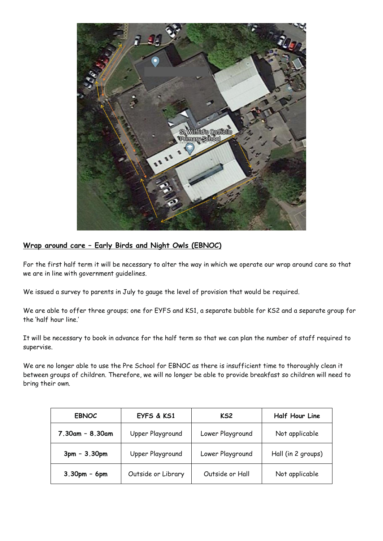

# **Wrap around care – Early Birds and Night Owls (EBNOC)**

For the first half term it will be necessary to alter the way in which we operate our wrap around care so that we are in line with government guidelines.

We issued a survey to parents in July to gauge the level of provision that would be required.

We are able to offer three groups; one for EYFS and KS1, a separate bubble for KS2 and a separate group for the 'half hour line.'

It will be necessary to book in advance for the half term so that we can plan the number of staff required to supervise.

We are no longer able to use the Pre School for EBNOC as there is insufficient time to thoroughly clean it between groups of children. Therefore, we will no longer be able to provide breakfast so children will need to bring their own.

| <b>EBNOC</b>      | EYFS & KS1         | KS <sub>2</sub>  | <b>Half Hour Line</b> |
|-------------------|--------------------|------------------|-----------------------|
| $7.30am - 8.30am$ | Upper Playground   | Lower Playground | Not applicable        |
| $3pm - 3.30pm$    | Upper Playground   | Lower Playground | Hall (in 2 groups)    |
| $3.30pm - 6pm$    | Outside or Library | Outside or Hall  | Not applicable        |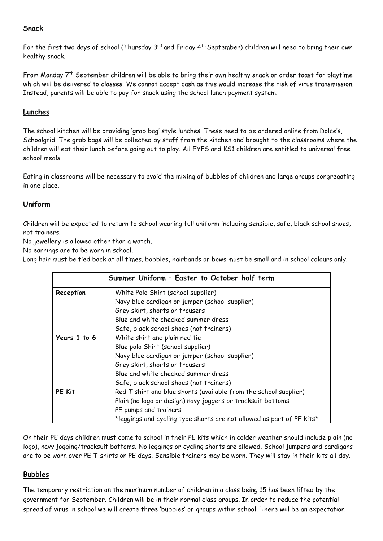# **Snack**

For the first two days of school (Thursday 3rd and Friday 4th September) children will need to bring their own healthy snack.

From Monday 7th September children will be able to bring their own healthy snack or order toast for playtime which will be delivered to classes. We cannot accept cash as this would increase the risk of virus transmission. Instead, parents will be able to pay for snack using the school lunch payment system.

## **Lunches**

The school kitchen will be providing 'grab bag' style lunches. These need to be ordered online from Dolce's, Schoolgrid. The grab bags will be collected by staff from the kitchen and brought to the classrooms where the children will eat their lunch before going out to play. All EYFS and KS1 children are entitled to universal free school meals.

Eating in classrooms will be necessary to avoid the mixing of bubbles of children and large groups congregating in one place.

## **Uniform**

Children will be expected to return to school wearing full uniform including sensible, safe, black school shoes, not trainers.

No jewellery is allowed other than a watch.

No earrings are to be worn in school.

Long hair must be tied back at all times. bobbles, hairbands or bows must be small and in school colours only.

| Summer Uniform - Easter to October half term |                                                                       |  |
|----------------------------------------------|-----------------------------------------------------------------------|--|
| Reception                                    | White Polo Shirt (school supplier)                                    |  |
|                                              | Navy blue cardigan or jumper (school supplier)                        |  |
|                                              | Grey skirt, shorts or trousers                                        |  |
|                                              | Blue and white checked summer dress                                   |  |
|                                              | Safe, black school shoes (not trainers)                               |  |
| Years 1 to 6                                 | White shirt and plain red tie                                         |  |
|                                              | Blue polo Shirt (school supplier)                                     |  |
|                                              | Navy blue cardigan or jumper (school supplier)                        |  |
|                                              | Grey skirt, shorts or trousers                                        |  |
|                                              | Blue and white checked summer dress                                   |  |
|                                              | Safe, black school shoes (not trainers)                               |  |
| PE Kit                                       | Red T shirt and blue shorts (available from the school supplier)      |  |
|                                              | Plain (no logo or design) navy joggers or tracksuit bottoms           |  |
|                                              | PE pumps and trainers                                                 |  |
|                                              | *leggings and cycling type shorts are not allowed as part of PE kits* |  |

On their PE days children must come to school in their PE kits which in colder weather should include plain (no logo), navy jogging/tracksuit bottoms. No leggings or cycling shorts are allowed. School jumpers and cardigans are to be worn over PE T-shirts on PE days. Sensible trainers may be worn. They will stay in their kits all day.

#### **Bubbles**

The temporary restriction on the maximum number of children in a class being 15 has been lifted by the government for September. Children will be in their normal class groups. In order to reduce the potential spread of virus in school we will create three 'bubbles' or groups within school. There will be an expectation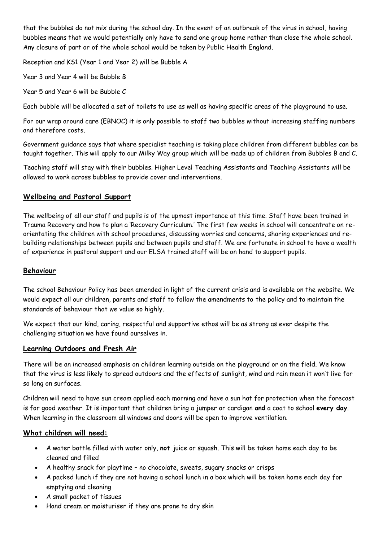that the bubbles do not mix during the school day. In the event of an outbreak of the virus in school, having bubbles means that we would potentially only have to send one group home rather than close the whole school. Any closure of part or of the whole school would be taken by Public Health England.

Reception and KS1 (Year 1 and Year 2) will be Bubble A

Year 3 and Year 4 will be Bubble B

Year 5 and Year 6 will be Bubble C

Each bubble will be allocated a set of toilets to use as well as having specific areas of the playground to use.

For our wrap around care (EBNOC) it is only possible to staff two bubbles without increasing staffing numbers and therefore costs.

Government guidance says that where specialist teaching is taking place children from different bubbles can be taught together. This will apply to our Milky Way group which will be made up of children from Bubbles B and C.

Teaching staff will stay with their bubbles. Higher Level Teaching Assistants and Teaching Assistants will be allowed to work across bubbles to provide cover and interventions.

### **Wellbeing and Pastoral Support**

The wellbeing of all our staff and pupils is of the upmost importance at this time. Staff have been trained in Trauma Recovery and how to plan a 'Recovery Curriculum.' The first few weeks in school will concentrate on reorientating the children with school procedures, discussing worries and concerns, sharing experiences and rebuilding relationships between pupils and between pupils and staff. We are fortunate in school to have a wealth of experience in pastoral support and our ELSA trained staff will be on hand to support pupils.

## **Behaviour**

The school Behaviour Policy has been amended in light of the current crisis and is available on the website. We would expect all our children, parents and staff to follow the amendments to the policy and to maintain the standards of behaviour that we value so highly.

We expect that our kind, caring, respectful and supportive ethos will be as strong as ever despite the challenging situation we have found ourselves in.

#### **Learning Outdoors and Fresh Air**

There will be an increased emphasis on children learning outside on the playground or on the field. We know that the virus is less likely to spread outdoors and the effects of sunlight, wind and rain mean it won't live for so long on surfaces.

Children will need to have sun cream applied each morning and have a sun hat for protection when the forecast is for good weather. It is important that children bring a jumper or cardigan **and** a coat to school **every day**. When learning in the classroom all windows and doors will be open to improve ventilation.

## **What children will need:**

- A water bottle filled with water only, **not** juice or squash. This will be taken home each day to be cleaned and filled
- A healthy snack for playtime no chocolate, sweets, sugary snacks or crisps
- A packed lunch if they are not having a school lunch in a box which will be taken home each day for emptying and cleaning
- A small packet of tissues
- Hand cream or moisturiser if they are prone to dry skin